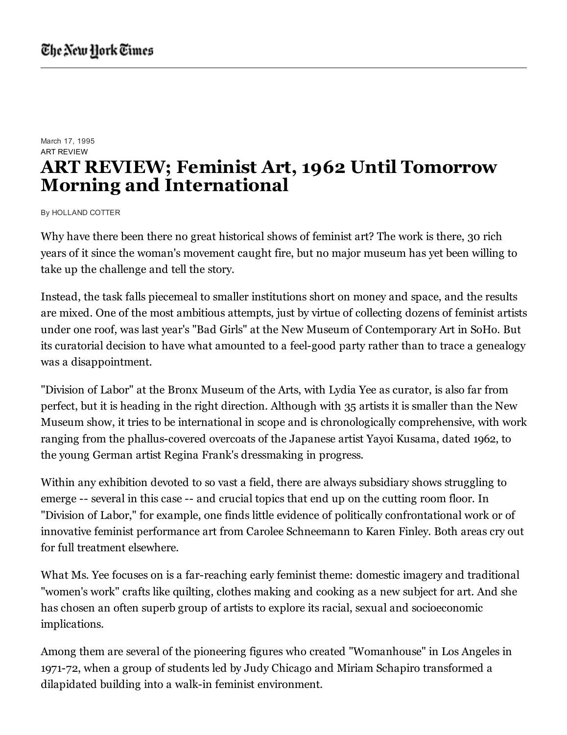## March 17, 1995 ART REVIEW **ART REVIEW; Feminist Art, 1962 Until Tomorrow Morning and International**

By HOLLAND COTTER

Why have there been there no great historical shows of feminist art? The work is there, 30 rich years of it since the woman's movement caught fire, but no major museum has yet been willing to take up the challenge and tell the story.

Instead, the task falls piecemeal to smaller institutions short on money and space, and the results are mixed. One of the most ambitious attempts, just by virtue of collecting dozens of feminist artists under one roof, was last year's "Bad Girls" at the New Museum of Contemporary Art in SoHo. But its curatorial decision to have what amounted to a feel-good party rather than to trace a genealogy was a disappointment.

"Division of Labor" at the Bronx Museum of the Arts, with Lydia Yee as curator, is also far from perfect, but it is heading in the right direction. Although with 35 artists it is smaller than the New Museum show, it tries to be international in scope and is chronologically comprehensive, with work ranging from the phallus-covered overcoats of the Japanese artist Yayoi Kusama, dated 1962, to the young German artist Regina Frank's dressmaking in progress.

Within any exhibition devoted to so vast a field, there are always subsidiary shows struggling to emerge -- several in this case -- and crucial topics that end up on the cutting room floor. In "Division of Labor," for example, one finds little evidence of politically confrontational work or of innovative feminist performance art from Carolee Schneemann to Karen Finley. Both areas cry out for full treatment elsewhere.

What Ms. Yee focuses on is a far-reaching early feminist theme: domestic imagery and traditional "women's work" crafts like quilting, clothes making and cooking as a new subject for art. And she has chosen an often superb group of artists to explore its racial, sexual and socioeconomic implications.

Among them are several of the pioneering figures who created "Womanhouse" in Los Angeles in 1971-72, when a group of students led by Judy Chicago and Miriam Schapiro transformed a dilapidated building into a walk-in feminist environment.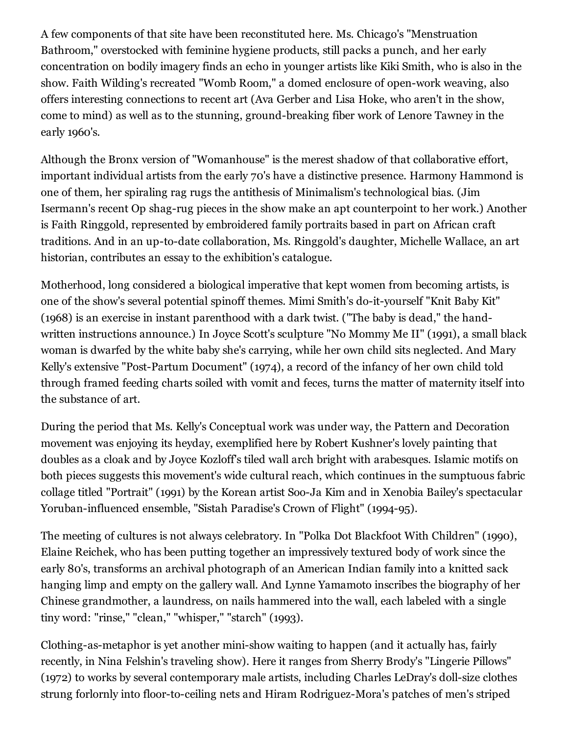A few components of that site have been reconstituted here. Ms. Chicago's "Menstruation Bathroom," overstocked with feminine hygiene products, still packs a punch, and her early concentration on bodily imagery finds an echo in younger artists like Kiki Smith, who is also in the show. Faith Wilding's recreated "Womb Room," a domed enclosure of open-work weaving, also offers interesting connections to recent art (Ava Gerber and Lisa Hoke, who aren't in the show, come to mind) as well as to the stunning, ground-breaking fiber work of Lenore Tawney in the early 1960's.

Although the Bronx version of "Womanhouse" is the merest shadow of that collaborative effort, important individual artists from the early 70's have a distinctive presence. Harmony Hammond is one of them, her spiraling rag rugs the antithesis of Minimalism's technological bias. (Jim Isermann's recent Op shag-rug pieces in the show make an apt counterpoint to her work.) Another is Faith Ringgold, represented by embroidered family portraits based in part on African craft traditions. And in an up-to-date collaboration, Ms. Ringgold's daughter, Michelle Wallace, an art historian, contributes an essay to the exhibition's catalogue.

Motherhood, long considered a biological imperative that kept women from becoming artists, is one of the show's several potential spinoff themes. Mimi Smith's do-it-yourself "Knit Baby Kit" (1968) is an exercise in instant parenthood with a dark twist. ("The baby is dead," the handwritten instructions announce.) In Joyce Scott's sculpture "No Mommy Me II" (1991), a small black woman is dwarfed by the white baby she's carrying, while her own child sits neglected. And Mary Kelly's extensive "Post-Partum Document" (1974), a record of the infancy of her own child told through framed feeding charts soiled with vomit and feces, turns the matter of maternity itself into the substance of art.

During the period that Ms. Kelly's Conceptual work was under way, the Pattern and Decoration movement was enjoying its heyday, exemplified here by Robert Kushner's lovely painting that doubles as a cloak and by Joyce Kozloff's tiled wall arch bright with arabesques. Islamic motifs on both pieces suggests this movement's wide cultural reach, which continues in the sumptuous fabric collage titled "Portrait" (1991) by the Korean artist Soo-Ja Kim and in Xenobia Bailey's spectacular Yoruban-influenced ensemble, "Sistah Paradise's Crown of Flight" (1994-95).

The meeting of cultures is not always celebratory. In "Polka Dot Blackfoot With Children" (1990), Elaine Reichek, who has been putting together an impressively textured body of work since the early 80's, transforms an archival photograph of an American Indian family into a knitted sack hanging limp and empty on the gallery wall. And Lynne Yamamoto inscribes the biography of her Chinese grandmother, a laundress, on nails hammered into the wall, each labeled with a single tiny word: "rinse," "clean," "whisper," "starch" (1993).

Clothing-as-metaphor is yet another mini-show waiting to happen (and it actually has, fairly recently, in Nina Felshin's traveling show). Here it ranges from Sherry Brody's "Lingerie Pillows" (1972) to works by several contemporary male artists, including Charles LeDray's doll-size clothes strung forlornly into floor-to-ceiling nets and Hiram Rodriguez-Mora's patches of men's striped